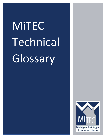## MiTEC Technical Glossary

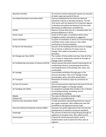| Absolute Humidity                              | Air moisture content expressed in grains (or pounds)      |
|------------------------------------------------|-----------------------------------------------------------|
|                                                | of water vapor per pound of dry air.                      |
| Accredited Standards Committee (ASC)           | A group established by the American National              |
|                                                | Standards Institute to develop standards. The ASC         |
|                                                | Z223 works with the National Fire Protection Agency       |
|                                                | to develop and publish the National Fuel Gas Code.        |
|                                                | Also known as ANSI Z223.1 and NFPA 54.                    |
| ACH50                                          | Measure of how often the air is refreshed when the        |
|                                                | pressure difference is 50 Pa.                             |
| <b>Action Levels</b>                           | Levels of CO (in ppm, as tested) at which action          |
|                                                | (mitigation and/or evacuation) is suggested.              |
| <b>Active Ventilation</b>                      | A system of ventilation in which air is forced through    |
|                                                | ventilation ducts under pressure. Also called             |
|                                                | mechanical or forced ventilation.                         |
| Air Barrier (Air Boundary)                     | Any part of the building shell that resists air leakage.  |
|                                                | The air barrier is effective if it stops most air         |
|                                                | leakage. Also called air boundary or pressure             |
|                                                | boundary.                                                 |
| Air Changes per Hour (ACH)                     | The number of times within one hour that all of the       |
|                                                | air in a home is replaced by outside air through air      |
|                                                | leakage and/or ventilation.                               |
| Air Conditioning Contractors of America (ACCA) | Industry group that works toward improving the air-       |
|                                                | conditioning industry, promoting good practices,          |
|                                                | and keeping homes and buildings safe, clean, and          |
|                                                | comfortable.                                              |
| Air Leakage                                    | Uncontrolled ventilation through gaps in the              |
|                                                | pressure boundary. Sites of air leakage include           |
|                                                | around pipes, wires, and other penetrations.              |
| Air Transport                                  | Movement of moisture vapor by convective air<br>currents. |
| Air-free CO Content                            | Unit of measurement referring to the level of CO not      |
|                                                | diluted with oxygen in a flue gas sample.                 |
| Air-handling Unit (AHU)                        | An equipment package that includes a fan or blower        |
|                                                | for providing heating, ventilating, and air               |
|                                                | conditioning to a building.                               |
| Albedo                                         | The ratio of reflected to incident light.                 |
| <b>Ambient Air</b>                             | Outdoor or unconditioned air                              |
| American Gas Association (AGA)                 | A trade association representing American natural         |
|                                                | gas supply companies. AGA collaborates with ASC           |
|                                                | and NFPA on the National Fuel Gas Code.                   |
| American National Standards Institute (ANSI)   | A private non-profit organization that oversees the       |
|                                                | development of voluntary consensus standards.             |
| Amperage                                       | The amount of electrical energy flowing through an        |
|                                                | appliance at any given time. Also called current.         |
| Anemometer                                     | A device for measuring wind speed, used in                |
|                                                | weatherization work to determine flow rates at            |
|                                                | registers.                                                |
|                                                |                                                           |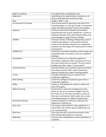| Angle of Incidence       | The angle of the sun hitting the roof.                                                                   |
|--------------------------|----------------------------------------------------------------------------------------------------------|
| Appendix A               | Specifications for weatherization materials as set                                                       |
|                          | forth in DOE WAP Rule 10 CFR, Part 440.                                                                  |
| Area                     | Length $x$ width = area.                                                                                 |
| As-measured CO Content   | Unit of measurement referring to the level of CO,                                                        |
|                          | including oxygen, in a flue gas sample. As-measured                                                      |
|                          | values will always be lower than air-free samples.                                                       |
| Asbestos                 | A fibrous mineral with fireproof and insulation                                                          |
|                          | characteristics that may be shaped into a variety of                                                     |
|                          | building materials. Small, sharp asbestos fibers may                                                     |
|                          | cause damage to lungs if they are inhaled.                                                               |
| <b>ASHRAE</b>            | American Society of Heating, Refrigerating, and Air-                                                     |
|                          | Conditioning Engineers. International technical                                                          |
|                          | society which develops standards for refrigeration                                                       |
|                          | processes and the design and maintenance of indoor                                                       |
|                          | environments.                                                                                            |
| ASHRAE 62.2              | Standard for providing ventilation system design and                                                     |
|                          | expectable indoor air quality in low-rise residential                                                    |
|                          | buildings.                                                                                               |
| Atmospheric              | Used in reference to combustion appliances.                                                              |
|                          | Atmospheric appliances draw combustion air from                                                          |
|                          | the room where they are located. The term used in                                                        |
|                          | building and safety codes is "natural draft."                                                            |
| <b>Awning Window</b>     | Awning windows are essentially casement windows                                                          |
|                          | that swing vertically. Often used in basements.                                                          |
|                          | Jalousie windows are a type of awning window.                                                            |
| <b>B-vent</b>            | A double-wall pipe for gas or propane-fired                                                              |
|                          | combustion appliances.                                                                                   |
| <b>Back Drafting</b>     | Continuous spillage of combustion gases from a                                                           |
|                          | combustion appliance.                                                                                    |
| <b>Baffle</b>            | A plate or strip designed to retard or redirect the                                                      |
|                          | flow of flue gases.                                                                                      |
| <b>Balloon Framing</b>   | Construction in which the studding and corner                                                            |
|                          | plates are set up in continuous lengths from the                                                         |
|                          | first-floor line or sill to the roof plate to which all                                                  |
|                          | floor joists are fastened. Wall cavities act as major                                                    |
|                          | air leakage pathways in balloon framed homes.                                                            |
| <b>Barometric Damper</b> | A device installed in a chimney to allow for the<br>adjustment of dilution air.                          |
|                          |                                                                                                          |
| <b>Base Load</b>         | The energy used by electric or gas appliances in a<br>home that is not used for space conditioning, thus |
|                          | not a seasonal load.                                                                                     |
| <b>Band Joist</b>        | The outermost joist around the perimeter of the                                                          |
|                          | floor framing. Also known as a rim joist.                                                                |
| <b>Belly Blow</b>        | A process for insulating floor cavities with blown-in                                                    |
|                          | insulation.                                                                                              |
|                          |                                                                                                          |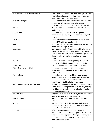| Belly Return or Belly Return System         | A type of mobile home air distribution system. The     |
|---------------------------------------------|--------------------------------------------------------|
|                                             | mobile home heating or cooling system receives         |
|                                             | return air through the belly cavity.                   |
| Bernoulli Principle                         | Phenomenon in which a sufficient air stream across     |
|                                             | an opening will create enough of a pressure            |
|                                             | difference to draw a liquid or gas out of a vessel.    |
| Blower                                      | Used in reference to furnace blowers. Also called      |
|                                             | squirrel cages.                                        |
| <b>Blower Door</b>                          | A diagnostic tool used to locate the points of         |
|                                             | infiltration in the building envelope and help guide   |
|                                             | air sealing.                                           |
| <b>Board Feet</b>                           | A measurement of lumber volume. A board foot           |
|                                             | equals 144 cubic inches of wood.                       |
| <b>Boot</b>                                 | A duct section that connects a duct to a register or a |
|                                             | round duct to a square duct.                           |
| Borescope                                   | An inspection tool; a flexible tube with a light and   |
|                                             | camera or viewer at one end. Borescopes can be         |
|                                             | used to look into wall cavities and other tight spaces |
|                                             | that would be otherwise impossible to visually         |
|                                             | inspect.                                               |
| <b>Box Sill</b>                             | Common method of framing floor joists, where a         |
|                                             | header is nailed to the ends of the floor joists.      |
| <b>Branch Duct</b>                          | An air duct which branches from a main duct.           |
| <b>British Thermal Unit (BTU)</b>           | The quantity of heat required to raise the             |
|                                             | temperature of one pound of water one degree           |
|                                             | Fahrenheit.                                            |
| <b>Building Envelope</b>                    | The surface area of the building that encloses         |
|                                             | conditioned space. The exterior walls, the ceiling,    |
|                                             | and the floor or heated basement area are              |
|                                             | considered part of the building envelope.              |
| <b>Building Performance Institute (BPI)</b> | Organization supporting the development of a highly    |
|                                             | professional building performance industry through     |
|                                             | individual and organizational credentialing and a      |
|                                             | quality assurance program.                             |
| <b>Bulk Moisture</b>                        | Large amounts of water intrusion, for example from     |
|                                             | wind-driven rain or sub-surface water.                 |
| <b>Butyl-backed Tape</b>                    | Heavy-duty, pressure-sensitive duct joint rolled       |
|                                             | sealant.                                               |
| <b>Bypass</b>                               | An opening or hole in the pressure and thermal         |
|                                             | boundaries where air passes, uncontrolled, into or     |
|                                             | out of the building envelope.                          |
| Cad Cell                                    | A flame sensor composed of the chemical                |
|                                             | compound cadmium sulfide. Its purpose is to sense      |
|                                             | whether a flame is present during a burner cycle. If a |
|                                             | flame is not detected, it activates a relay, which     |
|                                             | shuts the burner down.                                 |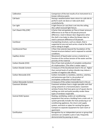| Calibration                    | Comparison of the test results of an instrument to a                                          |
|--------------------------------|-----------------------------------------------------------------------------------------------|
|                                | known reference point.                                                                        |
| Call-back                      | Having a weatherization team return to a job site to                                          |
|                                | perform work not done or redo work done                                                       |
|                                | unsatisfactorily.                                                                             |
| Can Light                      | A light fixture (or can) that is set into the ceiling.<br>Also called recessed light fixture. |
| Can't Reach Fifty (CRF)        | A factor that extrapolates air flow at lower pressure                                         |
|                                | differences to air flow at 50 pascals pressure                                                |
|                                | difference. Used in blower door diagnostics when                                              |
|                                | the shell is too leaky to allow the blower door to                                            |
|                                | reach a pressure difference of 50 pascals.                                                    |
| Cantilever                     | A projecting structure, such as a beam, that is                                               |
|                                | supported at one end and carries a load at the other                                          |
|                                | end or along its length.                                                                      |
| Cantilevered Floor             | A floor that extends beyond the foundation of the                                             |
|                                | framed structure below it and is exposed to outside                                           |
|                                | conditions.                                                                                   |
| Capillary Action               | Movement of liquid water across a material as a                                               |
|                                | function of the surface tension of the water and the                                          |
|                                | porosity of the material.                                                                     |
| Carbon Dioxide (CO2)           | One of two main products of complete combustion                                               |
|                                | of a hydrocarbon. (The other is water vapor.)                                                 |
| <b>Carbon Dioxide Content</b>  | A measure of the bicarbonate level in the air. Higher                                         |
|                                | than normal levels of carbon dioxide may induce a                                             |
|                                | number of negative side effects.                                                              |
| Carbon Monoxide (CO)           | Carbon monoxide is a tasteless, odorless, colorless,                                          |
|                                | and poisonous gas that is a by-product of                                                     |
|                                | incomplete combustion of fossil fuels.                                                        |
| <b>Carbon Monoxide Content</b> | A measure of the carbon monoxide level in the air.                                            |
| <b>Casement Window</b>         | Casement windows have a single operable sash that                                             |
|                                | swing outward on a horizontal plane. Casement                                                 |
|                                | window frames that have gone out of square due to                                             |
|                                | settling can stick and quite possibly render these                                            |
|                                | types of windows inoperable.                                                                  |
| Central HVAC System            | Heating, ventilating, and/or air conditioning                                                 |
|                                | equipment that serves a building from a main unit. A                                          |
|                                | system generally includes the heat producing or air                                           |
|                                | conditioning appliance, the return and supply                                                 |
|                                | system, and ducts or pipes for venting flue gases.                                            |
|                                | Compare to separate equipment for each room or                                                |
|                                | apartment.                                                                                    |
| Certification                  | Recognition by an independent person or group that                                            |
|                                | someone can complete a job or task; frequently                                                |
|                                | demonstrated by passing an exam.                                                              |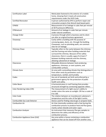| <b>Certification Label</b>      | Metal plate fastened to the exterior of a mobile        |
|---------------------------------|---------------------------------------------------------|
|                                 | home, showing that it meets all construction            |
|                                 | requirements under the HUD Code.                        |
| <b>Certified Renovator</b>      | A person authorized by EPA to perform repair and        |
|                                 | renovation projects that disturb lead-based paint.      |
| CFM50                           | Measurement of air leakage in cubic feet per minute     |
|                                 | at 50 Pa pressure difference.                           |
| CFMnatural                      | Amount of air leakage in cubic feet per minute          |
|                                 | under natural conditions.                               |
| Change Order                    | A process through which a business and its client       |
|                                 | can alter an original business agreement.               |
| Chaseway                        | Cavity within a building with the purpose of            |
|                                 | conveying pipes, ducts, etc. through the building.      |
|                                 | Chaseways, such as plumbing walls, are common           |
|                                 | sites for air leakage.                                  |
| <b>Chimney Chase</b>            | Typically refers to the cavity between the chimney      |
|                                 | and the framing and other building materials that       |
|                                 | surround the chimney. Because of fire-safety            |
|                                 | clearances, there is usually a gap of at least 2"       |
|                                 | between building materials and the chimney,             |
|                                 | allowing substantial air leakage.                       |
| Clearances                      | Allowable distances between heat-producing              |
|                                 | appliances, chimneys, or vent systems, and              |
|                                 | combustible surfaces.                                   |
| Climate Zone                    | An area with a prevailing climate that distinguishes it |
|                                 | from other areas by parameters such as                  |
|                                 | temperature, rainfall, and humidity                     |
| Codes                           | Any set of standards set forth and enforced by a        |
|                                 | government agency for the protection of public          |
|                                 | health and safety.                                      |
| Collar Beam                     | A horizontal piece in roof framing that provides        |
|                                 | structural strength by connecting opposite rafters.     |
| Color Rendering Index (CRI)     | The measurement of a light source's ability to          |
|                                 | render colors the same as sunlight. CRI has a scale of  |
|                                 | 0 to 100.                                               |
| <b>Color Scale</b>              | The relation between an incandescent substance's        |
|                                 | temperature and the color of the light it emits.        |
| Combustible Gas Leak Detector   | Device used for finding natural gas or propane leaks.   |
| <b>Combustion Air</b>           | Air that chemically combines with a fuel during the     |
|                                 | combustion process to produce heat and flue gases;      |
|                                 | mainly carbon dioxide and water vapor.                  |
| <b>Combustion Analyzer</b>      | An instrument that measures flue gas samples to         |
|                                 | determine the safety and efficiency of the              |
|                                 | combustion process.                                     |
| Combustion Appliance Zone (CAZ) | Any area within a house containing a combustion         |
|                                 | appliance that can be closed off from another area.     |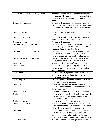| <b>Combustion Appliance Zone (CAZ) Testing</b> | Diagnostics performed to ensure that combustion        |
|------------------------------------------------|--------------------------------------------------------|
|                                                | appliances work properly and that pressures in the     |
|                                                | home allow adequate ventilation for health and         |
|                                                | safety.                                                |
| <b>Combustion Byproducts</b>                   | Combustion byproducts are produced whenever            |
|                                                | carbon-based fuels such as gas, oil, kerosene, wood,   |
|                                                | or charcoal are burned. Many of these byproducts       |
|                                                | are pollutants.                                        |
| <b>Combustion Chamber</b>                      | The area inside the heat exchanger where the flame     |
|                                                | burns                                                  |
| <b>Combustion Efficiency</b>                   | Percentage of fuel burned during combustion. Also      |
|                                                | referred to as steady state efficiency.                |
| <b>Combustion Gases</b>                        | Combustion byproducts.                                 |
| <b>Community Action Agency (CAA)</b>           | Community Action Agencies are non-profit, private      |
|                                                | and public, organizations established under the        |
|                                                | Economic Opportunity Act of 1964.                      |
| <b>Community Action Programs (CAP)</b>         | Community Action Programs are designed to help         |
|                                                | people achieve self-sufficiency. Often used            |
|                                                | interchangeably with Community Action Agency.          |
| <b>Compact Fluorescent Lamps (CFLs)</b>        | A small fluorescent light bulb that uses 75% less      |
|                                                | energy than a traditional incandescent bulb.           |
| Competency                                     | Demonstrated ability to perform a job or task.         |
| Concentric Flue                                | A double wall flue pipe allowing the supply of         |
|                                                | combustion air and the simultaneous evacuation of      |
|                                                | combustion gases.                                      |
| Condensation                                   | The conversion of a gas to a liquid. Typically used in |
|                                                | relation to water when discussing moisture             |
|                                                | dynamics in the home.                                  |
| <b>Condensing Furnace</b>                      | A high-efficiency furnace that also removes latent     |
|                                                | heat from combustion products.                         |
| <b>Conditioned Air</b>                         | Air that has been heated, cooled, humidified, or       |
|                                                | dehumidified to maintain an interior space within      |
|                                                | the "comfort zone."                                    |
| <b>Conditioned Space</b>                       | Intentionally heated or cooled areas of a building.    |
| Conduction                                     | The transfer of energy through matter from particle    |
|                                                | to particle. Ex: when a teaspoon handle becomes        |
|                                                | heated while stirring hot tea.                         |
| <b>Conductive Heat Loss</b>                    | The transfer of heat through a material.               |
| <b>Consumption Analysis</b>                    | A method to determine how energy is used in the        |
|                                                | home, what the main base loads are, and if a home's    |
|                                                | utility bills make sense after a site survey.          |
| Convection                                     | The transfer of heat caused by the movement of a       |
|                                                | fluid like water or air. When a fluid becomes          |
|                                                | warmer, it becomes lighter and rises. The stack        |
|                                                | effect is an example of convective currents at work.   |
| <b>Convective Losses</b>                       | Heat loss in a building resulting from air movement.   |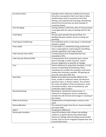| <b>Corrective Action</b>        | Typically used in reference to deferral of services,  |
|---------------------------------|-------------------------------------------------------|
|                                 | the action a prospective client must take to allow    |
|                                 | weatherization work to proceed on the home.           |
|                                 | Having a roof repaired and removing a threatening     |
|                                 | animal from the premises are both example of          |
|                                 | corrective actions.                                   |
| <b>Cost Averaging</b>           | Costing method in which the value of new purchases    |
|                                 | is averaged with the value of existing stock for like |
|                                 |                                                       |
|                                 | items.                                                |
| Crawl Space                     | The low space beneath the ground floor of a           |
|                                 | building that gives workers access to wiring and      |
|                                 | plumbing.                                             |
| <b>Crawl Space Conditioning</b> | The method by which a crawl space is intentionally    |
|                                 | heated or cooled.                                     |
| Crew Leader                     | A crew leader is a residential energy professional    |
|                                 | who is responsible for supervising the retrofitting   |
|                                 | activities specified in the scope of work.            |
| Cubic Feet per Hour (CFH)       | A measurement of air-transported heat loss.           |
|                                 | Calculated in BTU.                                    |
| Cubic Feet per Minute (CFM)     | A measurement of air movement past a certain          |
|                                 | point or through a certain structure. Used in         |
|                                 | pressure diagnostics to quantify air leakage          |
| Cure                            | Used in reference to spray foam insulation, it is the |
|                                 | process of expanding and hardening. Many              |
|                                 | manufacturers consider the insulation cured when      |
|                                 |                                                       |
|                                 | residue-free trimming is possible. Off-gassing can    |
|                                 | occur for many days after this.                       |
| Data Plate                      | Mobile home label permanently affixed to the          |
|                                 | home, usually in a bedroom closet, the electrical     |
|                                 | panel box cover, or kitchen cabinet. This contains    |
|                                 | the name and address of the manufacturer, serial      |
|                                 | and model numbers, date of manufacture, and           |
|                                 | certification label numbers.                          |
| Decommissioning                 | Removing or retiring from active service. In          |
|                                 | reference to refrigerators and air conditioners,      |
|                                 | includes the safe removal and storage or recycling of |
|                                 | the coolant.                                          |
| <b>Deferral of Services</b>     | Postponement of weatherization services to the        |
|                                 | client.                                               |
| Dehumidification                | The removal of water from the air. Excess humidity    |
|                                 | can cause mold.                                       |
| Delta T                         | Temperature difference.                               |
| Dense-pack Insulation           | Loose-fill insulation that is blown into building     |
|                                 | cavities to a specific density that substantially     |
|                                 | reduces air leakage while providing recommended       |
|                                 |                                                       |
|                                 | R-value. Easy to use for irregularly shaped areas and |
|                                 | around obstructions.                                  |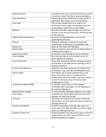| Depressurization          | A condition that occurs when the air pressure inside<br>a structure is lower that the air pressure outdoors. |
|---------------------------|--------------------------------------------------------------------------------------------------------------|
| <b>Desk Monitoring</b>    | Monitoring activities performed through review of                                                            |
|                           | paperwork. Also known as On-site monitoring.                                                                 |
| <b>Dew Point</b>          | The warmest temperature of an object in an                                                                   |
|                           | environment where water condensation from the                                                                |
|                           | surrounding air would form on that object.                                                                   |
| Diffusion                 | Movement of water vapor through a material as a                                                              |
|                           | function of the driving force across, and the porosity                                                       |
|                           | of, the material.                                                                                            |
| Digital Probe Thermometer | Device for testing temperature rise and fan                                                                  |
|                           | operating temperatures.                                                                                      |
| Dilution                  | Relying on adequate ventilation to reduce the                                                                |
|                           | concentration of pollutants to acceptable levels.                                                            |
| <b>Dilution Air</b>       | Room air that mixes with flue gases.                                                                         |
| <b>Dilution Rate</b>      | Used in context to mean the rate at which indoor air                                                         |
|                           | is diluted with outdoor air.                                                                                 |
| Direct Current (DC)       | An electric current flowing in only one direction.                                                           |
| Direct Leakage            | Air enters and exits at same location; occurs at                                                             |
|                           | direct openings to outdoors.                                                                                 |
| <b>Direct Penetration</b> | Those leaks associated with the exchange of indoor                                                           |
|                           | and outdoor air through exterior openings, such as                                                           |
|                           | windows and doors.                                                                                           |
| Direct-vented Appliance   | Appliances that draw combustion air directly from                                                            |
|                           | the outdoors, e.g., most 90+ condensing furnaces.                                                            |
| <b>Discount Rate</b>      | The interest rate at which expected future cash                                                              |
|                           | flows can be discounted. It includes both the                                                                |
|                           | present value and fuel escalation rate and is used to                                                        |
|                           | account for the time value of money and the                                                                  |
|                           | changing price of fuels.                                                                                     |
| Domestic Hot Water (DHW)  | A separate, closed system to heat potable                                                                    |
|                           | (drinkable) water and supply it to the dwelling unit                                                         |
|                           | for washing, bathing, etc.                                                                                   |
| Dominant Duct Leakage     | To measure either dominant supply or return leaks.                                                           |
| Door Casing               | A wooden trim around doors that covers the seam                                                              |
|                           | between the jamb and the wall.                                                                               |
| Doorstop                  | The wood trim fastened to the inside of the jamb                                                             |
|                           | that positions the door within the jamb and into the                                                         |
|                           | latching mechanism.                                                                                          |
| Double-hung Window        | Double-hung windows have operable upper and                                                                  |
|                           | lower sashes that slide vertically in a channel. Upper                                                       |
|                           | sashes are often painted shut.                                                                               |
| Double-insulated Tool     | Double-insulated tools help protect against electrical                                                       |
|                           | shock and have an outer casing of plastic or some                                                            |
|                           | other nonconductive material.                                                                                |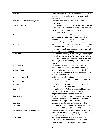| Downflow                                 | Air flow configuration in a furnace where cool air is  |
|------------------------------------------|--------------------------------------------------------|
|                                          | taken from above and discharged as warm air from       |
|                                          | the bottom.                                            |
| Downflow Air Distribution System         | Air distribution system where air is forced            |
|                                          | downward.                                              |
| <b>Downflow Furnace</b>                  | Furnace type where the blower is located at the top    |
|                                          | of the furnace cabinet and air is forced downwards     |
|                                          | across the heat exchanger and into the ducts located   |
|                                          | in the belly cavity.                                   |
| Draft                                    | A measurable pressure difference caused by             |
|                                          | combustion byproducts exhausting through a             |
|                                          | chimney flue as influenced by temperature              |
|                                          | difference, height of the flue, and the Venturi effect |
| <b>Draft Diverter</b>                    | An intentional opening in the vent system serving an   |
|                                          | atmospheric furnace or water heater where dilution     |
|                                          | air is drawn from the surrounding room to mix with     |
|                                          | the flue gases in the chimney.                         |
| Draft Hood                               | An intentional opening in the vent system serving an   |
|                                          | atmospheric furnace or water heater where dilution     |
|                                          | air is drawn from the surrounding room to mix with     |
|                                          | the flue gases in the chimney. Also called a draft     |
|                                          | diverter.                                              |
| <b>Draft Reversal</b>                    | Continuous spillage of combustion gases from a         |
|                                          | combustion appliance. Also called back drafting.       |
| Drainage Plane                           | A combination of water-resistant materials like        |
|                                          | building paper or house wrap, plus a physical space    |
|                                          | to allow water to flow.                                |
| Dropped Down Belly                       | Mobile home configuration where a hump is formed       |
|                                          | in the floor by the main duct running in the center.   |
| <b>Dropped Soffit</b>                    | A lowered part of the ceiling in a home.               |
| Dry Bulb                                 | Part of one in a pair of thermometers used in a        |
|                                          | hygrometer. See also wet bulb.                         |
| Dual Fuel                                | The ability of an HVAC system to use either of two     |
|                                          | fuels (e.g., natural gas or fuel oil). The decision is |
|                                          | frequently based on cost or availability.              |
| <b>Duct Blaster</b>                      | Combination of a small fan and a pressure gauge to     |
|                                          | pressurize a house's duct system and accurately        |
|                                          | measure air leakage of the ductwork.                   |
| Duct Blower                              | A device for testing duct leakiness and airflow.       |
| Duct Boot                                | Transition piece that connects the main duct to the    |
|                                          | floor and is often vulnerable to failure.              |
| <b>Duct-induced Pressure Differences</b> | Pressure differences between rooms in a building       |
|                                          | caused by the ducted air delivery system, can be due   |
|                                          | to supply ducts, return ducts, or both.                |
| Eave Chute                               | Device that maintains air space between the            |
|                                          | insulation blanket and the roof sheathing and          |
|                                          | prevents insulation from clogging eave vents.          |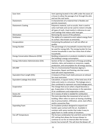| Eave Vent                                 | Vent opening located in the soffit under the eaves of    |
|-------------------------------------------|----------------------------------------------------------|
|                                           | a house to allow the passage of air through the attic    |
|                                           | and out the roof vents.                                  |
| Elastomeric                               | A characteristic of a material that is flexible and      |
|                                           | permits movement.                                        |
| <b>Elastomeric Coating</b>                | Polymeric material, such as acrylic, that is used to     |
|                                           | solve roof leaks and can be used to restore virtually    |
|                                           | all types of roofs. Used mainly in reference to cool     |
|                                           | roof coatings that reduce solar heat gain.               |
| Elimination                               | Removing the source of the pollution.                    |
| Emittance                                 | The ability of a material to emit radiant energy from    |
|                                           | its surface. Also known as emissivity.                   |
| Encapsulation                             | Containing the pollutant so it will not affect air       |
|                                           | quality.                                                 |
| <b>Energy Burden</b>                      | The percentage of a household's income that must         |
|                                           | be used for energy bills. The energy burden for low-     |
|                                           | income households is over four times that of other       |
|                                           | households.                                              |
| <b>Energy Conservation Measures (ECM)</b> | Building components or products installed to reduce      |
|                                           | the building's energy consumption.                       |
| Energy Information Administration (EIA)   | Section of the U.S. Department of Energy providing       |
|                                           | statistics, data, and analysis on resources, supply,     |
|                                           | production, and consumption for all energy sources.      |
| <b>EPA RRP</b>                            | The U.S. Environmental Protection Agency's               |
|                                           | Renovation, Repair and Painting rule that covers         |
|                                           | lead-safe work requirements.                             |
| Equivalent Duct Length (EDL)              | A measure of how much static pressure an exhaust         |
|                                           | fan must overcome.                                       |
| Equivalent Leakage Area (ELA)             | Calculation, in square inches, of the total area of all  |
|                                           | holes and cracks in a structure. The leakage area is     |
|                                           | then combined to represent one total leakage point.      |
| Evaporation                               | The change that occurs when a liquid becomes a           |
|                                           | gas. Evaporation is the key process in the operation     |
|                                           | of air conditioners and evaporative coolers.             |
| <b>Excess Air</b>                         | Air in excess of what is needed for combustion.          |
| Exfiltration                              | This term describes the movement of air out of a         |
|                                           | building. Often refers to warm air leaving a building    |
|                                           | due to pressurization, infiltration, wind, stack effect, |
|                                           | and/or convective flow.                                  |
| <b>Expanding Foam</b>                     | An insulation product designed to expand and             |
|                                           | harden upon contact with the air. Available in           |
|                                           | canisters with spray nozzles that make it easy to        |
|                                           | apply foam in a wide variety of situations.              |
| Fan-off Temperature                       | The furnace combination fan and limit control FAN        |
|                                           | OFF setting that allows the furnace blower to            |
|                                           | continue to run for an interval after the furnace        |
|                                           | burner has turned off. This will shut the blower off     |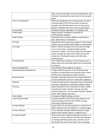|                                    | after the heat exchanger has been cooled down and      |
|------------------------------------|--------------------------------------------------------|
|                                    | the heat it contained has been sent to the occupied    |
|                                    | space.                                                 |
| Fan-on Temperature                 | When the designated warm temperature has been          |
|                                    | reached inside of the furnace warm air plenum          |
|                                    | chamber the FAN ON switch turns on the furnace         |
|                                    | blower to deliver warm air to the occupied space.      |
| Fenestration                       | Window and door openings in a building's wall.         |
| <b>Field Guides</b>                | Region-specific installation standards for             |
|                                    | weatherization program                                 |
| <b>Field Testing</b>               | Assessment of a trainee's abilities conducted on-      |
|                                    | site, rather than in a classroom.                      |
| <b>Fill Tube</b>                   | Specialized tool for blowing insulation into enclosed  |
|                                    | cavities such as mobile home bellies or roof cavities. |
| Fire-tube                          | Boiler in which hot gases from a fire pass through     |
|                                    | one or more tubes running through a sealed             |
|                                    | container of water. The heat energy from the gases     |
|                                    | passes through the sides of the tubes by thermal       |
|                                    | conduction, heating the water and ultimately           |
|                                    | creating steam.                                        |
| <b>Firing Chamber</b>              | The compartment inside an oil-burning furnace or       |
|                                    | boiler where the electrodes ignite the air/atomized    |
|                                    | oil mixture.                                           |
| Flame Impingement                  | The striking of flame against an object.               |
| <b>Flame Retention Head Burner</b> | A higher efficiency burner in an oil furnace that      |
|                                    | produces a hotter flame and operates with a lower      |
|                                    | air flow, thus reducing loss up the chimney.           |
| Flame Roll-out                     | Fuel gas combustion process occurring outside the      |
|                                    | normal combustion area of a combustion appliance.      |
| Flashing                           | A strip of metal used to stop water from penetrating   |
|                                    | a junction, typically of a roof with another surface.  |
| <b>Flue Gas</b>                    | Gases arising from the combustion of fuels, mainly     |
|                                    | consisting of carbon dioxide. Fuel gas normally        |
|                                    | contains pollutants, such as carbon dioxide, nitrogen  |
|                                    | oxide, sulfur dioxide, and dust.                       |
| <b>Foot Candle</b>                 | A measure of light striking a surface.                 |
| <b>Fuel Escalation Rate</b>        | Annual escalation rate of fuel prices based on the     |
|                                    | annual energy price forecasts of DOE's Energy          |
|                                    | Information Administration.                            |
| <b>Furnace Blower</b>              | A part of the furnace that produces a current of air.  |
|                                    | Often referred to as the "blower" or "squirrel cage."  |
| Furnace Plenum                     | An air chamber that gets filled directly by a large    |
|                                    | blower that is above, below, or adjacent to it.        |
| <b>Furred-out Walls</b>            | Wall construction using furring strips (usually 1 x 3  |
|                                    | lumber) to set the materials off from the substrate    |
|                                    | or existing wall being built upon. Common use of       |
|                                    | this detail is for rain-screen walls. The air spacing  |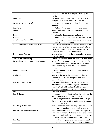|                                         | between the walls allows for protection against        |
|-----------------------------------------|--------------------------------------------------------|
|                                         | moisture.                                              |
| <b>Gable Vent</b>                       | A screened vent installed at or near the peak of a     |
|                                         | roof gable that allows warm attic air to escape.       |
| Gallons per Minute (GPM)                | The unit for measuring water flow, frequently for      |
|                                         | showers.                                               |
| <b>Glass Pane</b>                       | Sheet glass cut in shapes for windows or doors.        |
| Glazing                                 | Glass installation. Pertaining to glass assemblies or  |
|                                         | windows.                                               |
| Grade                                   | The pitch of a slope such as a roof or a hill.         |
| Grantee                                 | The individual or organization that receives a grant.  |
| Gross Vehicle Weight (GVW)              | The total weight of a vehicle, including passengers,   |
|                                         | fuel, cargo, and attachments.                          |
| Ground Fault Circuit Interrupter (GFCI) | An electrical connection device that breaks a circuit  |
|                                         | if a short occurs. GFCIs are required for all exterior |
|                                         | use of electrical equipment and when electrical        |
|                                         | outlets are located near water sources.                |
| <b>Ground Vapor Retarder</b>            | A material that impedes the passage of water vapor     |
|                                         | from the ground.                                       |
| <b>Guarded hot Box Testing</b>          | Process used to determine the R-value of a material.   |
| Hallway Return or Hallway Return System | A type of mobile home air distribution system. The     |
|                                         | mobile home heating or cooling system receives         |
|                                         | return air through a central trunk line beneath the    |
|                                         | hallway.                                               |
| Hands-on Training                       | Teaching students by having them perform the           |
|                                         | relevant tasks.                                        |
| <b>Head Jamb</b>                        | Groove at the top of the window that allows the        |
|                                         | window sashes to slide into place and sit inside the   |
|                                         | window frame.                                          |
| Health and Safety (H&S)                 | Provision included in a 1976 law change for the        |
|                                         | Weatherization Assistance Program. WAP now             |
|                                         | considers the health and safety of low-income          |
|                                         | families, as well as reducing their energy costs.      |
| Heat                                    | Molecular movement.                                    |
| <b>Heat Exchanger</b>                   | Furnace component that transfers the heat from the     |
|                                         | combustion gases to the surrounding air.               |
|                                         | Combustion gases travel from the burner through        |
|                                         | the heat exchanger and then out the flue in properly   |
|                                         | functioning furnaces.                                  |
| Heat Pump Water Heater                  | System that heats water by using electricity to move   |
|                                         | heat from surrounding air into a tank of water.        |
| Heat Recovery Ventilation (HRV)         | Most common in cold climates, these are typically      |
|                                         | whole-house systems that reclaim some of the heat      |
|                                         | from exhaust air and pass that heat on to the intake   |
|                                         | air so less energy is needed to heat the home.         |
| <b>Heat Rise</b>                        | The number of degrees of temperature increase that     |
|                                         | air is heated as it is blown over the heat exchanger.  |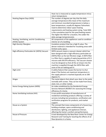|                                               | Heat rise is measured as supply temperature minus                 |
|-----------------------------------------------|-------------------------------------------------------------------|
|                                               | return temperature.                                               |
| Heating Degree Days (HDD)                     | The number of degrees per day that the daily                      |
|                                               | average temperature (the mean of the maximum                      |
|                                               | and minimum recorded temperatures) is below a                     |
|                                               | base temperature, usually 65 degrees Fahrenheit.                  |
|                                               | Used to determine indoor space heating                            |
|                                               | requirements and heating system sizing. Total HDD                 |
|                                               | is the cumulative total for the year/heating season.              |
|                                               | The higher the HDD for a location, the colder the                 |
|                                               | daily average temperature(s).                                     |
| Heating, Ventilating, and Air Conditioning    | All components of the appliances used to condition                |
| (HVAC) System                                 | interior air of a building.                                       |
| <b>High Density Fiberglass</b>                | Insulation product that has a high R-value. The                   |
|                                               | denser material is intended for insulating areas with             |
|                                               | limited cavity space.                                             |
| High-efficiency Particulate Air (HEPA) Vacuum | HEPA vacuum means a vacuum cleaner which has                      |
|                                               | been designed with a high-efficiency particulate air              |
|                                               | (HEPA) filter as the last filtration stage. A HEPA filter         |
|                                               | is a filter that is capable of capturing particles of 0.3         |
|                                               | microns with 99.97% efficiency. The vacuum cleaner                |
|                                               | must be designed so that all the air drawn into the               |
|                                               | machine is expelled through the HEPA filter with                  |
|                                               | none of the air leaking past it.                                  |
| <b>High Limit</b>                             | A safety feature that causes the burner to shut                   |
|                                               | down if the factory-set maximum temperature in                    |
|                                               | the supply plenum is reached (typically set at 200<br>degrees F). |
| Hinges                                        | The metal objects that attach your door to the jamb,              |
|                                               | normally with screws. They can be made from brass,                |
|                                               | steel, iron, or other metals.                                     |
| Home Energy Rating System (HERS)              | An index established by the Residential Energy                    |
|                                               | Services Network (RESNET) for assessing the energy                |
|                                               | efficiency of a home.                                             |
| Home Ventilating Institute (HVI)              | A non-profit association of manufacturers of                      |
|                                               | residential ventilating products offering a variety of            |
|                                               | services including test procedures, certification and             |
|                                               | verification programs for products, and market                    |
|                                               | support.                                                          |
| House as a System                             | The concept that many components of a house (e.g.,                |
|                                               | building envelope, space conditioning and                         |
|                                               | distribution, lighting, and appliance) interact,                  |
|                                               | affecting the home's comfort and performance.                     |
| <b>House of Pressure</b>                      | A tool developed by the New River Center for Energy               |
|                                               | Research and Training for teaching the effects of air             |
|                                               | flow dynamics in a home.                                          |
|                                               |                                                                   |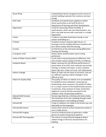| House Wrap                   | A polyethylene barrier wrapped around a house to        |
|------------------------------|---------------------------------------------------------|
|                              | protect building materials from moisture and save       |
|                              | energy.                                                 |
| <b>HUD Code</b>              | Standards and specifications applied to mobile          |
|                              | home construction as set forth by the U.S.              |
|                              | Department of Housing and Urban Development.            |
| Hygrometer                   | A tool for measuring relative humidity. A               |
|                              | psychrometer, which uses two thermometers, one          |
|                              | with a dry bulb and one with a wet bulb, is a simple    |
|                              | hygrometer.                                             |
| I-beam                       | A rolled or extruded metal beam having a cross          |
|                              | section resembling an I.                                |
| <b>IC Rated</b>              | Insulation Contact rating for light fixtures. IC        |
|                              | housings must be installed wherever insulation will     |
|                              | be in direct contact with the housing.                  |
| Ice Dam                      | Ice that forms at the roof eaves during differential    |
|                              | freezing and thawing.                                   |
| In-progress Units            | Homes where weatherization work is being                |
|                              | performed.                                              |
| Inches of Water Column (IWC) | A unit used in measuring pressure difference. One       |
|                              | inch of water column equals 0.25 kPa; or 0.036 psi.     |
| <b>Incidental Repair</b>     | Repair necessary for the effective performance or       |
|                              | preservation of an ECM. Such materials may include      |
|                              | framing, or limited roof repair, so attic insulation    |
|                              | doesn't get wet. It does not cover roof replacement.    |
| Indirect Leakage             | When air leaks into the home at one point, and out      |
|                              | at a different opening. Indirect leakage is more        |
|                              | difficult to find.                                      |
| Indoor Air Quality (IAQ)     | The quality of indoor air relative to its acceptability |
|                              | for healthful human habitation. Assessing and           |
|                              | ameliorating, when necessary, the quality of indoor     |
|                              | air is a major concern of the weatherization process.   |
|                              | In particular, all by-products of major combustion      |
|                              | appliances must be directly evacuated to the            |
|                              | outdoors under all operating conditions.                |
| <b>Induced Draft Furnace</b> | Furnace type that has a chimney vent and a motor.       |
| Infiltration                 | The movement of air into a building through cracks      |
|                              | and penetrations in the building envelope.              |
| Infrared (IR)                | A type of radiation not visible to the human eye, but   |
|                              | detectable by thermography.                             |
| Infrared (IR) Camera         | Camera that converts surface temperature patterns       |
|                              | into a visible picture.                                 |
| Infrared (IR) Imaging        | Use of an infrared camera to generate a visible         |
|                              | picture of surface temperature patterns.                |
| Infrared (IR) Thermography   | The science of using infrared imaging to detect         |
|                              | radiant energy or heat loss characteristics of a        |
|                              | building.                                               |
|                              |                                                         |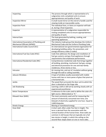| Inspecting                                | The process through which a representative of a          |
|-------------------------------------------|----------------------------------------------------------|
|                                           | subgrantee visits completed units to ensure              |
|                                           | appropriateness and quality of work.                     |
| <b>Inspection Mirror</b>                  | A small round mirror on the end of a handle used for     |
|                                           | viewing inside an inaccessible cavity.                   |
| <b>Inspection Point</b>                   | The individual lines, or items an inspector will look    |
|                                           | at, during a final inspection.                           |
| Inspector                                 | A representative of a subgrantee responsible for         |
|                                           | visiting completed units to ensure appropriateness       |
|                                           | and quality of work.                                     |
| <b>Internal Gain</b>                      | The heat generated by bathing, cooking, and              |
|                                           | operating appliances.                                    |
| International Association of Plumbing and | The industry trade group that develops the Uniform       |
| Mechanical Officials (IAPMO)              | Mechanical Code and the Uniform Plumbing Code.           |
| International Codes Council (ICC)         | An international non-governmental organization for       |
|                                           | developing building safety, fire prevention, and         |
|                                           | energy efficiency codes (I-codes).                       |
| International Fuel Gas Code (IFGC)        | Code that addresses the design and installation of       |
|                                           | fuel gas systems and gas-fired appliances through        |
|                                           | requirements that emphasize performance.                 |
| International Residential Code (IRC)      | Comprehensive residential code that brings together      |
|                                           | all building, plumbing, mechanical, fuel gas, energy,    |
|                                           | and electrical provisions for one and two-family         |
|                                           | residences, three stories or less.                       |
| Intrusion                                 | Air moving into, and out of, insulation without going    |
|                                           | through the wall or ceiling assembly.                    |
| Jalousie Windows                          | A type of window usually associated with mobile          |
|                                           | homes with two or more panes of glass that pivot on      |
|                                           | a horizontal axis.                                       |
| Jambs                                     | The wood that surrounds the door unit to which the       |
|                                           | door is attached on the hinge side.                      |
| <b>Job Shadowing</b>                      | Learning a skill or skill set by working closely with an |
|                                           | experienced practitioner.                                |
| Kelvin Temperature                        | A reference to the scale used to define the color of a   |
|                                           | light source. Abbreviated as "K."                        |
| Kilowatt Hour (kWh)                       | The most commonly used unit for measuring the            |
|                                           | amount of electricity consumed over time; one            |
|                                           | kilowatt of electricity supplied for one hour. Equal to  |
|                                           | 3,600 kilojoules.                                        |
| <b>Kinetic Energy</b>                     | Moving or transitional energy.                           |
| Knee Wall                                 | A short wall, often under five feet in height. The       |
|                                           | term is derived from the association with the            |
|                                           | vertical location of the human knee. Knee walls are      |
|                                           | common in old houses that are typically not a full       |
|                                           | two stories in height, in which the ceiling on the       |
|                                           | second-floor slopes down on one or more sides.           |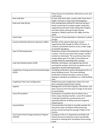|                                               | These houses are sometimes referred to as one and                                                      |
|-----------------------------------------------|--------------------------------------------------------------------------------------------------------|
|                                               | a half stories.                                                                                        |
| Knee-wall Attic                               | An attic with short walls, usually under three feet in                                                 |
|                                               | height. Common in Cape Cods and bungalows.                                                             |
| Knob and Tube Wiring                          | Early standardized method for electrical wiring in                                                     |
|                                               | homes consisting of insulated copper conductors                                                        |
|                                               | supported by porcelain knobs (along their lengths)                                                     |
|                                               | and tubes (when passing through framing                                                                |
|                                               | members). Widely used from the 1880s until the                                                         |
|                                               | 1930s.                                                                                                 |
| Latent Heat                                   | The amount of heat absorbed or released in a phase                                                     |
|                                               | change.                                                                                                |
| Lawrence Berkeley National Laboratory (LBNL)  | Member of the national laboratory system                                                               |
|                                               | supported by DOE though its Office of Science. It                                                      |
|                                               | conducts unclassified research across a wide range<br>of scientific disciplines.                       |
| Laws of Thermodynamics                        | Statements of basic thermodynamic relationships in                                                     |
|                                               | a system. The first law states that energy is neither                                                  |
|                                               | created nor destroyed. The second law states that                                                      |
|                                               | energy always goes from high to low (absent an                                                         |
|                                               | outside influence expending other energy).                                                             |
| Lead-safe Weatherization (LSW)                | Methods, techniques, and engineering controls                                                          |
|                                               | assuring that workers and home occupants are not                                                       |
|                                               | exposed to harmful lead-based paint.                                                                   |
| Leadership in Energy and Environmental Design | A building certification system developed by the U.S.                                                  |
| (LEED)                                        | Green Building Council. The Green Building                                                             |
|                                               | Certification Institute provides a series of exams                                                     |
|                                               | leading to individual accreditation as a LEED building                                                 |
|                                               | rater.                                                                                                 |
| Lengthwise Floor Joist Configuration          | Mobile home joist configuration where the main                                                         |
|                                               | duct is located inside the joist cavities.                                                             |
| Logistics                                     | Management of the flow of goods, information, and                                                      |
|                                               | other resources from the point of origin to the point                                                  |
|                                               | of consumption.                                                                                        |
| Loose-fill Insulation                         | Small pieces of insulation that are blown into a                                                       |
|                                               | home using a blowing machine. Loose-fill insulation<br>is typically installed by a professional and is |
|                                               | especially effective at filling small and irregularly                                                  |
|                                               | shaped spaces.                                                                                         |
| Louvered Door                                 | A louvered door has fixed or movable wooden fins                                                       |
|                                               | that permit open ventilation while preserving                                                          |
|                                               | privacy and preventing the passage of light to the                                                     |
|                                               | interior.                                                                                              |
| Low Income Home Energy Assistance Program     | A program of the U.S. Department of Health and                                                         |
| (LIHEAP)                                      | Human Services to help low-income households,                                                          |
|                                               | primarily in meeting their immediate home energy                                                       |
|                                               | needs.                                                                                                 |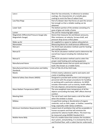| Low-e                                       | Short for low emissivity. In reference to window       |
|---------------------------------------------|--------------------------------------------------------|
|                                             | coatings, the characteristic of a metallic glass       |
|                                             | coating to resist the flow of radiant heat.            |
| Low-flow Rings                              | Part of a blower door that forces air past the sensors |
|                                             | fast enough so that a reliable reading can be          |
|                                             | obtained.                                              |
| Lower Sash                                  | The bottom portion of the window consisting of a       |
|                                             | pane of glass set inside a frame.                      |
| Lumen                                       | The unit for measuring light output.                   |
| Magnehelic Differential Pressure Gauge (aka | Device that measures fan and blower pressures,         |
| Magnehelic Gauge)                           | filter resistance, air velocity, furnace draft, and    |
|                                             | pressure drop across orifice plates                    |
| Make-up Air                                 | Air supplied to a space to replace exhausted air.      |
| Manometer                                   | Measuring device for small pressure differences.       |
| Manual J                                    | The ACCA load calculation method used for heating      |
|                                             | and cooling systems.                                   |
| Manual D                                    | The ACCA calculation method used to determine the      |
|                                             | overall duct layout including the individual duct      |
|                                             | sizes.                                                 |
| <b>Manual S</b>                             | The ACCA calculation method used to select the         |
|                                             | proper sized heating and cooling equipment.            |
| <b>Manufactured Home</b>                    | Transportable homes that are quick and cheap to        |
|                                             | build. Also known as a mobile home.                    |
| Manufactured Home Construction and Safety   | Part of Title 24 of the HUD Code.                      |
| Standards                                   |                                                        |
| Mastic                                      | A thick creamy substance used to seal seams and        |
|                                             | cracks in building materials.                          |
| Material Safety Data Sheets (MSDS)          | Designed to provide both workers and emergency         |
|                                             | personnel with the proper procedures for handling      |
|                                             | or working with a particular substance. An MSDS        |
|                                             | includes information such as toxicity, health effects, |
|                                             | first aid, disposal, and protective equipment.         |
| Mean Radiant Temperature (MRT)              | The area-weighted mean temperature of all the          |
|                                             | objects surrounding the body. MRT affects thermal      |
|                                             | comfort.                                               |
| <b>Meeting Rails</b>                        | The rail of each sash that meets a rail of the other   |
|                                             | when the window is closed.                             |
| Mildew                                      | A superficial coating or discoloration of organic      |
|                                             | materials, such as cloth, paper, or leather, caused by |
|                                             | fungi, especially under damp conditions.               |
| Minimum Ventilation Requirements (MVR)      | Lowest level of ventilation that will be acceptable to |
|                                             | human occupants and that will minimize the             |
|                                             | potential for adverse health effects. This level may   |
|                                             | be measured using ASHRAE Standard 62.2.                |
| Mobile Home Belly                           | Part of a mobile home that contains the insulation,    |
|                                             | duct system, and plumbing. It is enclosed by the sub   |
|                                             | and finished floor, with a rodent barrier underneath.  |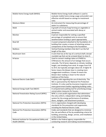| evaluate mobile home energy usage and predict cost<br>effective retrofit based on savings to investment<br>ratio.<br>An instrument for measuring the percentage of<br><b>Moisture Meter</b><br>water in a substance.<br>Mold<br>A growth of minute fungi forming on vegetable or<br>animal matter and associated with decay or<br>dampness.<br>A person responsible for visiting a specified<br>Monitor<br>percentage of completed units to ensure that<br>weatherization funding is spent appropriately.<br>Mud Sill<br>A wood component attached to the foundation of a<br>building that creates a means of attaching various<br>components of the framing to the foundation. |
|---------------------------------------------------------------------------------------------------------------------------------------------------------------------------------------------------------------------------------------------------------------------------------------------------------------------------------------------------------------------------------------------------------------------------------------------------------------------------------------------------------------------------------------------------------------------------------------------------------------------------------------------------------------------------------|
|                                                                                                                                                                                                                                                                                                                                                                                                                                                                                                                                                                                                                                                                                 |
|                                                                                                                                                                                                                                                                                                                                                                                                                                                                                                                                                                                                                                                                                 |
|                                                                                                                                                                                                                                                                                                                                                                                                                                                                                                                                                                                                                                                                                 |
|                                                                                                                                                                                                                                                                                                                                                                                                                                                                                                                                                                                                                                                                                 |
|                                                                                                                                                                                                                                                                                                                                                                                                                                                                                                                                                                                                                                                                                 |
|                                                                                                                                                                                                                                                                                                                                                                                                                                                                                                                                                                                                                                                                                 |
|                                                                                                                                                                                                                                                                                                                                                                                                                                                                                                                                                                                                                                                                                 |
|                                                                                                                                                                                                                                                                                                                                                                                                                                                                                                                                                                                                                                                                                 |
|                                                                                                                                                                                                                                                                                                                                                                                                                                                                                                                                                                                                                                                                                 |
|                                                                                                                                                                                                                                                                                                                                                                                                                                                                                                                                                                                                                                                                                 |
|                                                                                                                                                                                                                                                                                                                                                                                                                                                                                                                                                                                                                                                                                 |
|                                                                                                                                                                                                                                                                                                                                                                                                                                                                                                                                                                                                                                                                                 |
|                                                                                                                                                                                                                                                                                                                                                                                                                                                                                                                                                                                                                                                                                 |
|                                                                                                                                                                                                                                                                                                                                                                                                                                                                                                                                                                                                                                                                                 |
| <b>Mullions</b><br>Vertical framing members that don't run the full                                                                                                                                                                                                                                                                                                                                                                                                                                                                                                                                                                                                             |
| length of the door.                                                                                                                                                                                                                                                                                                                                                                                                                                                                                                                                                                                                                                                             |
| Mushroom Vent<br>A vent that has at the top of a vertical shaft a broad                                                                                                                                                                                                                                                                                                                                                                                                                                                                                                                                                                                                         |
| rounded cap that can be screwed down to close it.                                                                                                                                                                                                                                                                                                                                                                                                                                                                                                                                                                                                                               |
| N-factor<br>Used to convert readings taken at CFM50 to                                                                                                                                                                                                                                                                                                                                                                                                                                                                                                                                                                                                                          |
| CFMnatural, the amount of air leakage that occurs                                                                                                                                                                                                                                                                                                                                                                                                                                                                                                                                                                                                                               |
| naturally. The N-factor depends on climate, building                                                                                                                                                                                                                                                                                                                                                                                                                                                                                                                                                                                                                            |
| height, and shielding from wind. N ranges from 9.8                                                                                                                                                                                                                                                                                                                                                                                                                                                                                                                                                                                                                              |
| to 29.4, but typically averages about 20. A higher N-                                                                                                                                                                                                                                                                                                                                                                                                                                                                                                                                                                                                                           |
| factor means the blower door is creating more                                                                                                                                                                                                                                                                                                                                                                                                                                                                                                                                                                                                                                   |
| exaggerated conditions. A lower N means the                                                                                                                                                                                                                                                                                                                                                                                                                                                                                                                                                                                                                                     |
| blower door reading is closer to the natural                                                                                                                                                                                                                                                                                                                                                                                                                                                                                                                                                                                                                                    |
| leakiness of the home.                                                                                                                                                                                                                                                                                                                                                                                                                                                                                                                                                                                                                                                          |
| National Electric Code (NEC)<br>A safety code regarding the use of electricity. The                                                                                                                                                                                                                                                                                                                                                                                                                                                                                                                                                                                             |
| NEC is sponsored by the National Fire Protection                                                                                                                                                                                                                                                                                                                                                                                                                                                                                                                                                                                                                                |
| Institute. It is also used by insurance inspectors and                                                                                                                                                                                                                                                                                                                                                                                                                                                                                                                                                                                                                          |
| many government bodies regulating building codes.                                                                                                                                                                                                                                                                                                                                                                                                                                                                                                                                                                                                                               |
| A computerized auditing tool for prioritizing energy<br>National Energy Audit Tool (NEAT)                                                                                                                                                                                                                                                                                                                                                                                                                                                                                                                                                                                       |
| conservation measures for houses.                                                                                                                                                                                                                                                                                                                                                                                                                                                                                                                                                                                                                                               |
| National Fenestration Rating Council (NFRC)<br>NFRC is a non-profit organization that administers                                                                                                                                                                                                                                                                                                                                                                                                                                                                                                                                                                               |
| the only uniform, independent rating and labeling                                                                                                                                                                                                                                                                                                                                                                                                                                                                                                                                                                                                                               |
| system for the energy performance of windows,                                                                                                                                                                                                                                                                                                                                                                                                                                                                                                                                                                                                                                   |
| doors, skylights, and attachment products.                                                                                                                                                                                                                                                                                                                                                                                                                                                                                                                                                                                                                                      |
| National Fire Protection Association (NFPA)<br>A U.S. organization charged with developing                                                                                                                                                                                                                                                                                                                                                                                                                                                                                                                                                                                      |
| standards for fire prevention and suppression,                                                                                                                                                                                                                                                                                                                                                                                                                                                                                                                                                                                                                                  |
| including the National Electric Code.                                                                                                                                                                                                                                                                                                                                                                                                                                                                                                                                                                                                                                           |
| National Fire Protection Association (NFPA)<br>Codes and standards that are designed to minimize                                                                                                                                                                                                                                                                                                                                                                                                                                                                                                                                                                                |
| the risk and effects of fire by establishing criteria for<br>Code                                                                                                                                                                                                                                                                                                                                                                                                                                                                                                                                                                                                               |
| building, processing, design, service, and installation                                                                                                                                                                                                                                                                                                                                                                                                                                                                                                                                                                                                                         |
| in the United States.                                                                                                                                                                                                                                                                                                                                                                                                                                                                                                                                                                                                                                                           |
| NIOSH is the Federal agency responsible for<br>National Institute for Occupational Safety and                                                                                                                                                                                                                                                                                                                                                                                                                                                                                                                                                                                   |
| Health (NIOSH)<br>conducting research and making recommendations                                                                                                                                                                                                                                                                                                                                                                                                                                                                                                                                                                                                                |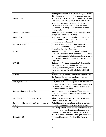|                                               | for the prevention of work-related injury and illness. |
|-----------------------------------------------|--------------------------------------------------------|
|                                               | NIOSH issues recommendations for respirator use.       |
| <b>Natural Draft</b>                          | Used in reference to combustion appliances. Natural    |
|                                               | draft appliances draw combustion air from the room     |
|                                               | where they are located. Although the term              |
|                                               | "atmospheric" is often used to describe these          |
|                                               | appliances, all building and safety codes refer to     |
|                                               | natural draft.                                         |
| <b>Natural Driving Forces</b>                 | Wind, stack effect, combustion, or ventilation which   |
|                                               | change the pressure in a building.                     |
| <b>Natural Gas</b>                            | A hydrocarbon gas that is usually obtained from        |
|                                               | underground sources, often in association with         |
|                                               | petroleum and coal deposits.                           |
| Net Free Area (NFA)                           | The area of a vent after adjusting for insect screen,  |
|                                               | louvers, and weather covering. The free area is        |
|                                               | always less than the actual area.                      |
| <b>NFPA 211</b>                               | National Fire Protection Association's Standard for    |
|                                               | Chimneys, Fireplaces, Vents, and Solid-Fuel-Burning    |
|                                               | Appliances includes installation procedures for vents  |
|                                               | and chimneys that serve wood-burning stoves and        |
|                                               | fireplaces.                                            |
| NFPA 31                                       | National Fire Protection Association's Standard for    |
|                                               | the Implementation of Oil-Burning Equipment,           |
|                                               | dictating that chimneys must be at least 2 feet        |
|                                               | higher than any portion of the building within 10      |
|                                               | feet.                                                  |
| NFPA 54                                       | National Fire Protection Association's National Fuel   |
|                                               | Gas Code stating that combustion air must be           |
|                                               | provided for a combustion zone.                        |
| Non-expanding Foam                            | Spray foam that does not expand. Used in window        |
|                                               | and door jambs, and other constricted spaces where     |
|                                               | expanding foam may distort building materials and      |
|                                               | negatively impact operation.                           |
| Non-flame Retention Head Burner               | An older type of burner than the "flame retention      |
|                                               | head burner," requiring more excess air and burning    |
|                                               | less efficiently.                                      |
| Oak Ridge National Laboratory (ORNL)          | Laboratory where the Mobile Home Energy Audit          |
|                                               | (MHEA) software was developed.                         |
| Occupational Safety and Health Administration | United States government agency that establishes       |
| (OSHA)                                        | and enforces safety standards in the workplace.        |
| Off-Gas                                       | Off-gassing is the evaporation of volatile chemicals   |
|                                               | in non-metallic materials at normal atmospheric        |
|                                               | pressure. This means that building materials can       |
|                                               | release chemicals into the air through evaporation.    |
| On Center (OC)                                | Term used in carpentry for describing framing          |
|                                               | spacing.                                               |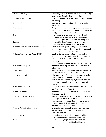| <b>On-site Monitoring</b>                | Monitoring activities conducted at the home being                    |
|------------------------------------------|----------------------------------------------------------------------|
|                                          | weatherized. See also Desk monitoring.                               |
| On-site/In-field Training                | Teaching students to perform jobs or tasks in a real-                |
|                                          | life setting.                                                        |
| On-the-job Training                      | Learning while engaged in work, rather than in a                     |
|                                          | classroom.                                                           |
| One-part Foam                            | One-part foam comes in spray cans and spray guns                     |
|                                          | with screw-on cans. One-part foam is best suited for                 |
|                                          | filling gaps and holes less than 34".                                |
| Over-fired                               | In reference to furnaces; when too much fuel is                      |
|                                          | being burned, as a response to over-sized fuel                       |
|                                          | nozzles, over-pressurization from the pump, etc.                     |
| Oxidation                                | The combination of a substance with oxygen.                          |
| Oxygen Content                           | A measure of the amount of oxygen in the air.                        |
| Packaged Terminal Air Conditioner (PTAC) | A self-contained space heating and/or cooling                        |
|                                          | system, usually powered with electricity, commonly                   |
|                                          | found in hotels and apartment buildings.                             |
| Packaged Terminal Heat Pump (PTHP)       | A self-contained space heating and/or cooling                        |
|                                          | system, frequently installed in a sleeve through the                 |
|                                          | exterior wall of a building, using heat pump                         |
|                                          | technology.<br>Parts of a door between rails and stiles or mullions. |
| Panel                                    |                                                                      |
| Parts per Million (ppm)                  | Unit for quantifying very dilute concentrations of<br>substances.    |
| Pascals (Pa)                             | Metric standard for measuring pressure differences.                  |
|                                          | 248 pascals equal one inch of water column.                          |
| <b>Passive Attic Venting</b>             | Takes advantage of the natural buoyancy of air by                    |
|                                          | providing inlets and outlets low and high on the                     |
|                                          | roof. Warm air rises through higher vents and cooler                 |
|                                          | air is drawn through eave vents as the warm air                      |
|                                          | escapes.                                                             |
| Performance Standard                     | Specification of the conditions that will exist when a               |
|                                          | satisfactory job is performed.                                       |
| <b>Permeance Rating</b>                  | Number that quantifies the rate of vapor diffusion                   |
|                                          | through a material.                                                  |
| Personal Fall Arrest System              | A system used to arrest an employee in a fall from a                 |
|                                          | working level. It consists of an anchor point,                       |
|                                          | connectors, a body belt or body harness and may                      |
|                                          | include a lanyard, deceleration device, lifeline, or                 |
|                                          | suitable combinations of these.                                      |
| Personal Protective Equipment (PPE)      | Accessories such as safety glasses, ear plugs, and                   |
|                                          | respirators worn to protect individuals from                         |
|                                          | workplace hazards.                                                   |
| Personal Space                           | The variable and subjective distance at which one                    |
|                                          | person feels comfortable interacting with another.                   |
| Phase Change                             | The act of changing from one state of matter to                      |
|                                          | another; e.g., solid to liquid or liquid to gas.                     |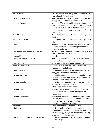| Picture Window                            | Picture windows have no operable sashes and are                                          |
|-------------------------------------------|------------------------------------------------------------------------------------------|
|                                           | used primarily for aesthetics.                                                           |
| Pier and Beam Foundation                  | Housing base that uses a concrete footing and pier                                       |
|                                           | to support wood beams and floor joists.                                                  |
| <b>Platform Framing</b>                   | A system of framing a building in which floor joists of                                  |
|                                           | each story rest on the top plates of the story below                                     |
|                                           | or on the foundation sill for the first story, and the                                   |
|                                           | bearing walls and partitions rest on the subfloor of                                     |
|                                           | each story.                                                                              |
| <b>Pocket Doors</b>                       | Doors that slide into a wall cavity and are typically                                    |
|                                           | very leaky.                                                                              |
| Polyurethane Foam                         | A versatile plastic foam insulation, usually yellow in                                   |
|                                           | color.                                                                                   |
| Porosity                                  | Measure of the void spaces in a material, expressed                                      |
|                                           | as either a fraction or a percentage of the total                                        |
|                                           | volume of material.                                                                      |
| Positive-pressure Supplied-air Respirator | Has its own air compressor to supply fresh air to the                                    |
|                                           | worker, and can use a mask or hood.                                                      |
| <b>Potential Energy</b>                   | Stored energy.                                                                           |
| Pounds per Square Inch (psi)              | Units of measure for the pressure a gas or liquid                                        |
|                                           | exerts on the walls of its container.                                                    |
| <b>Power Venting</b>                      | Active mechanical ventilation approaches.                                                |
| Prescriptive Standard                     | Specifies in detail the requirements and test                                            |
|                                           | procedures to be followed.                                                               |
| Present Value (PV)                        | The amount that a future sum of money is worth                                           |
|                                           | today given a specified rate of return.                                                  |
| <b>Pressure Balancing</b>                 | To equalize house or duct pressure by adjusting air                                      |
|                                           | flow in supply and return ducts. Used on dwellings                                       |
|                                           | with forced air heating systems.                                                         |
| Pressure Boundary                         | The surface that separates inside from outside, in                                       |
|                                           | relation to conditioned space within the home. Also                                      |
|                                           | called air boundary or air barrier.                                                      |
| Pressure Pan                              | A device used to measure pressure differences                                            |
|                                           | between ducts and the home during pressure                                               |
|                                           | diagnostics.                                                                             |
| <b>Pressure Pan Testing</b>               | One method for determining duct leakage. Uses a                                          |
|                                           | pressure pan, manometer, and a blower door to                                            |
|                                           | quantify pressure differences and verify                                                 |
|                                           | improvements after duct sealing.                                                         |
| Primary Air                               | Air mixed with fuel before combustion.                                                   |
| <b>Priority List</b>                      | The list or ranking of installation measures                                             |
|                                           | developed by a program to produce the most cost-                                         |
|                                           | effective energy savings results based on a savings-<br>to-investment ratio calculation. |
|                                           |                                                                                          |
| Propane (liquefied petroleum gas, or LPG) | A colorless, flammable gas occurring in petroleum                                        |
|                                           | and natural gas.                                                                         |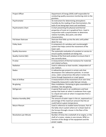| Project Officer               | Department of Energy (DOE) staff responsible for<br>conducting quality assurance monitoring visits to the<br>grantees.                                                                                           |
|-------------------------------|------------------------------------------------------------------------------------------------------------------------------------------------------------------------------------------------------------------|
| Psychrometer                  | An instrument for determining atmospheric<br>humidity by the reading of two thermometers, the<br>bulb of one being kept moist and ventilated.                                                                    |
| Psychrometric Chart           | A chart presenting the physical and thermal<br>properties of moist air in graphical form. Used in<br>conjunction with a psychrometer to determine<br>relative humidity, dew point, and other<br>characteristics. |
| Pull-down Staircase           | Staircase that folds up into the attic until pulled<br>down for use.                                                                                                                                             |
| <b>Pulley Seals</b>           | A component of a window sash counterweight<br>system that helps control the movement of the<br>lower sash.                                                                                                       |
| <b>Quality Assurance</b>      | The systematic evaluation of a product or service to<br>ensure quality standards are being met.                                                                                                                  |
| Quality Control (QC)          | Review of the final work product to ensure that it<br>was correctly done.                                                                                                                                        |
| R-value                       | A measurement of thermal resistance for materials<br>and related surfaces.                                                                                                                                       |
| Radiation                     | Used in reference to heat transfer, independent of<br>any medium.                                                                                                                                                |
| Radon                         | A radioactive gas present in certain soils that<br>decomposes into radioactive particles. In certain<br>areas, radon compromises IAQ when it enters the<br>home through basements or crawl spaces.               |
| Rate of Airflow               | A measurement of the movement of air over time,<br>frequently measured in cubic feet per minute.                                                                                                                 |
| Re-glazing                    | Glass installation. Pertaining to glass assemblies or<br>windows. See also glazing.                                                                                                                              |
| Refrigerant                   | A special fluid used in air conditioners and heat<br>pumps that heats air when it condenses from a gas<br>to a liquid and cools air when it evaporates from a<br>liquid to a gas.                                |
| <b>Relative Humidity (RH)</b> | The amount of water vapor in the air, expressed as a<br>percentage of the maximum amount that the air<br>could hold at a given temperature.                                                                      |
| <b>Return Plenum</b>          | Used in reference to mobile home furnaces. Part of<br>the belly return system where air is drawn back to<br>the furnace through a louver in the floor of the<br>furnace closet.                                  |
| <b>Revolutions per Minute</b> | Number of times the crankshaft of an engine, or the<br>shaft of a motor, rotates in one minute. RPM is a<br>function of the design of the equipment and the<br>power supply.                                     |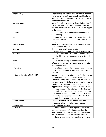| <b>Ridge Venting</b>              | Ridge venting is a continuous vent (or two strips of<br>vents) along the roof ridge. Usually combined with<br>continuous soffit or eave vents as part of an overall<br>attic ventilation system.                                                                                                                                                                                                                                                                                                                                                                                                            |
|-----------------------------------|-------------------------------------------------------------------------------------------------------------------------------------------------------------------------------------------------------------------------------------------------------------------------------------------------------------------------------------------------------------------------------------------------------------------------------------------------------------------------------------------------------------------------------------------------------------------------------------------------------------|
| Right to Appeal                   | Ability for a client to appeal a deferral of service. The<br>first appeal must go through the agency director. If<br>this does not resolve the issue, the client may appeal<br>to the State.                                                                                                                                                                                                                                                                                                                                                                                                                |
| Rim Joist                         | The outermost joist around the perimeter of the<br>floor framing.                                                                                                                                                                                                                                                                                                                                                                                                                                                                                                                                           |
| Riser                             | Transition piece that connects the main duct to the<br>floor and is often vulnerable to failure. See also duct<br>boot.                                                                                                                                                                                                                                                                                                                                                                                                                                                                                     |
| <b>Rodent Barrier</b>             | Guard used to keep rodents from entering a mobile<br>home through the belly.                                                                                                                                                                                                                                                                                                                                                                                                                                                                                                                                |
| Roof Jack                         | Chimney assembly that penetrates the roof and<br>includes the flashing and chimney cap assemblies.                                                                                                                                                                                                                                                                                                                                                                                                                                                                                                          |
| Roof Vent                         | A louver or small dome mounted on a roof (often<br>near the ridge) to allow the passage of air through<br>the attic.                                                                                                                                                                                                                                                                                                                                                                                                                                                                                        |
| Rules                             | Regulations governing weatherization activities.                                                                                                                                                                                                                                                                                                                                                                                                                                                                                                                                                            |
| Sash                              | A framework that holds the panes of a window in<br>the window frame.                                                                                                                                                                                                                                                                                                                                                                                                                                                                                                                                        |
| Saturation                        | The condition in which the air cannot hold any more<br>moisture, as a function of temperature and vapor<br>pressure.                                                                                                                                                                                                                                                                                                                                                                                                                                                                                        |
| Savings-to-Investment Ratio (SIR) | A calculation that determines the cost-effectiveness<br>of a weatherization measure by dividing the<br>estimated savings over its lifetime by the cost. SIR is<br>computed over the lifetimes of the retrofit measures<br>installed. Investment includes materials, labor, and<br>support costs. Savings is expressed in terms of the<br>net present value of the retail cost of the dwelling's<br>fuel. Under some methodologies, other benefits or<br>investments are included. SIRs of greater than one<br>are counted as cost effective under this DOE WAP<br>method of determining cost-effectiveness. |
| <b>Sealed Combustion</b>          | A heater that draws air for combustion from<br>outdoors and has a sealed exhaust system.                                                                                                                                                                                                                                                                                                                                                                                                                                                                                                                    |
| Secondary Air                     | Air surrounding a flame.                                                                                                                                                                                                                                                                                                                                                                                                                                                                                                                                                                                    |
| Section 8                         | The portion of the U.S. Housing and Community<br>Development Act of 1974 that established the<br>Housing Choice Voucher Program for low-income<br>families and individuals. It frequently refers to<br>housing provided under the provisions of the act.                                                                                                                                                                                                                                                                                                                                                    |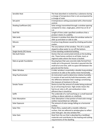| Sensible Heat                   | The heat absorbed or evolved by a substance during     |
|---------------------------------|--------------------------------------------------------|
|                                 | a change of temperature that is not accompanied by     |
|                                 | a change of state.                                     |
| Set-point                       | A temperature setting associated with a thermostat     |
|                                 | control.                                               |
| <b>Shading Coefficient (SC)</b> | Solar energy transmitted through a window opening      |
|                                 | compared to clear, single glass, which has an SC of    |
|                                 | 1.0.                                                   |
| Shelf life                      | Length of time under specified conditions that a       |
|                                 | product retains its usability.                         |
| Side Jamb                       | Grooves in window that allow the window sashes to      |
|                                 | slide up and down or side to side.                     |
| <b>Silicosis</b>                | A serious lung disease caused by inhaling particulate  |
|                                 | matter.                                                |
| Sill                            | The very bottom of the window. The sill is usually     |
|                                 | sloped to allow water to run off the bottom.           |
| Single-family (SF) Home         | A free-standing residential building.                  |
| Site-built Home                 | Homes that are constructed entirely at the building    |
|                                 | site. These homes conform to all State, local, or      |
|                                 | regional codes where the house is located.             |
| Slab-on-grade Foundation        | Housing base that uses concrete slabs formed from      |
|                                 | molds set in the ground. Concrete is poured into the   |
|                                 | mold all at one time, with no space left between the   |
|                                 | ground and the home.                                   |
| Slider Window                   | A slider window is essentially a double-hung window    |
|                                 | turned on its side so the sashes move horizontally.    |
| Sling Psychrometer              | An instrument used to determine relative humidity.     |
|                                 | It consists of wet and dry bulb thermometers, with     |
|                                 | the difference between their readings constituting     |
|                                 | the measure of moisture in the air.                    |
| <b>Smoke Tester</b>             | Device to test the amount of smoke being produced      |
|                                 | by an oil burning furnace. High smoke means the        |
|                                 | fuel-to-air ratio is off, and combustion is less       |
|                                 | efficient than it should be.                           |
| Soffit                          | The underside of a roof overhang or a small lowered    |
|                                 | ceiling, as above cabinets or a bathtub.               |
| Solar Absorption                | Solar absorption is that portion of total solar energy |
|                                 | neither transmitted nor reflected.                     |
| Solar Exposure                  | The amount of solar energy falling on a horizontal     |
|                                 | surface.                                               |
| Solar Film                      | Plastic films, coated with a metallic reflective       |
|                                 | surface, that are adhered to window glass to reflect   |
|                                 | solar heat gain. See also window film.                 |
| Solar Gain                      | Heat from the sun that is absorbed by a building's     |
|                                 | materials and contributes to the heating and cooling   |
|                                 | requirements of the dwelling.                          |
|                                 |                                                        |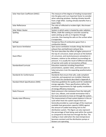| Solar Heat Gain Coefficient (SHGC)        | The measure of the degree of shading incorporated<br>into the glass and is an important factor to consider<br>when selecting windows. Heating climates benefit<br>from a high SHGC. Cooling climates benefits from a<br>lower SHGC. |
|-------------------------------------------|-------------------------------------------------------------------------------------------------------------------------------------------------------------------------------------------------------------------------------------|
| Solar Reflectance                         | The ratio of reflected to incident light. Also known<br>as albedo.                                                                                                                                                                  |
| Solar Water Heater                        | System in which water is heated by solar radiation.                                                                                                                                                                                 |
| Spalling                                  | White, chalk-like coating on concrete caused by                                                                                                                                                                                     |
|                                           | water picking up salts as it migrates through                                                                                                                                                                                       |
|                                           | concrete, then leaving the salts on the surface when                                                                                                                                                                                |
|                                           | it evaporates.                                                                                                                                                                                                                      |
| Spillage                                  | Temporary flow of combustion gases from a                                                                                                                                                                                           |
|                                           | combustion device.                                                                                                                                                                                                                  |
| Spot Source Ventilation                   | Spot source ventilation includes things like kitchen                                                                                                                                                                                |
|                                           | exhaust fans and bathroom exhaust fans.                                                                                                                                                                                             |
|                                           | The term describes the effect of higher pressure at                                                                                                                                                                                 |
|                                           | the top of a structure, lower pressure at the bottom                                                                                                                                                                                |
| <b>Stack Effect</b>                       | of a structure, and neutral pressure somewhere in                                                                                                                                                                                   |
|                                           | between, relative to the ambient (surrounding) air                                                                                                                                                                                  |
|                                           | pressure. It is usually the result of different densities<br>of warmer and cooler air (convective airflow).                                                                                                                         |
| <b>Standardized Curricula</b>             | <b>Education materials including PowerPoint</b>                                                                                                                                                                                     |
|                                           | presentations, speaker notes, and lesson plans to                                                                                                                                                                                   |
|                                           | help instructors train the expanding weatherization                                                                                                                                                                                 |
|                                           | workforce.                                                                                                                                                                                                                          |
| <b>Standards for Conformance</b>          | Standards that ensure that safe, code-compliant                                                                                                                                                                                     |
|                                           | materials, and equipment are installed. Materials                                                                                                                                                                                   |
|                                           | must meet the standards described in Appendix A.                                                                                                                                                                                    |
| <b>Standard Work Specifications (SWS)</b> | Voluntary guidelines for quality work for residential                                                                                                                                                                               |
|                                           | energy upgrades. These specifications define the                                                                                                                                                                                    |
|                                           | minimum requirements for high-quality installation                                                                                                                                                                                  |
|                                           | of energy efficiency measures.                                                                                                                                                                                                      |
| <b>Static Pressure</b>                    | Static pressure is the resistance from the inlet grill,                                                                                                                                                                             |
|                                           | duct runs, elbows, and outside termination that a                                                                                                                                                                                   |
|                                           | fan must overcome to move air through the system.                                                                                                                                                                                   |
| Steady-state Efficiency                   | The measurement of heat system balance in the on-                                                                                                                                                                                   |
|                                           | cycle when heat into system equals heat out.                                                                                                                                                                                        |
|                                           | Generally provided as a percentage of the maximum<br>available heat generation capacity (100%) against                                                                                                                              |
|                                           | the amount of usable heat being sent to the                                                                                                                                                                                         |
|                                           | distribution system. This figure can also represent                                                                                                                                                                                 |
|                                           | the percentage of heat being used within the system                                                                                                                                                                                 |
|                                           | as compared to the heat lost through the flue. The                                                                                                                                                                                  |
|                                           | reading is most valid when the stack temperature                                                                                                                                                                                    |
|                                           | becomes constant and the distribution pumps or                                                                                                                                                                                      |
|                                           | blowers are operating.                                                                                                                                                                                                              |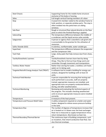| <b>Steel Chassis</b>                           | Supporting frame for the mobile home structure         |
|------------------------------------------------|--------------------------------------------------------|
|                                                | exclusive of the body or housing.                      |
| <b>Stiles</b>                                  | Full-length vertical framing members of a door.        |
| Stop                                           | A wood trim member nailed to the window frame to       |
|                                                | hold, position, or separate window parts. The stop is  |
|                                                | often molded into the jamb liners on sliding           |
|                                                | windows.                                               |
| Sub-floor                                      | Rough or structural floor placed directly on the floor |
|                                                | joists to which the finished flooring is applied.      |
| Subcooling                                     | The temperature difference between the middle of       |
|                                                | a condenser and the liquid service valve outside.      |
| Subgrantee                                     | A person or agency that is awarded a sub-grant and     |
|                                                | is accountable to the grantee for the utilization of   |
|                                                | resources.                                             |
| Sulfur Dioxide (SO2)                           | A colorless, nonflammable, water-soluble gas.          |
| Superheat                                      | The temperature difference between the evaporator      |
|                                                | and the compressor inlet.                              |
| <b>Tack Pads</b>                               | Large, sticky pads that help remove dust from shoes,   |
|                                                | etc.                                                   |
| Tactile/Kinesthetic Learners                   | Tactile/kinesthetic learners learn best by doing       |
|                                                | things. They like to find out how things work and      |
|                                                | remember through movement and manipulation.            |
| <b>Tankless Water Heater</b>                   | Rather than storing hot water, a tankless unit heats   |
|                                                | water as it is being used.                             |
| Targeted Retrofit Energy Analysis Tool (TREAT) | A software tool to model a building for energy-use     |
|                                                | analysis, designed for buildings with at least 25      |
|                                                | units.                                                 |
| <b>Technical Field Monitor</b>                 | A person responsible for ensuring that testing and     |
|                                                | work performed is accurate, staff are properly         |
|                                                | trained, appropriate measures are installed, and       |
|                                                | appropriate tests are properly conducted before,       |
|                                                | during, and after weatherization.                      |
| <b>Technical Monitoring</b>                    | Reviewing and evaluating the technical aspects of      |
|                                                | the program. This includes checking weatherized        |
|                                                | units to ensure appropriate measures were installed    |
|                                                | correctly.                                             |
| Temperature                                    | A measure of the heat present.                         |
| Temperature and Pressure Relief Valve          | A safety component required on a boiler and water      |
|                                                | heater, designed to relieve excess pressure buildup    |
|                                                | in the tank.                                           |
| <b>Temperature Rise</b>                        | The number of degrees of temperature increase that     |
|                                                | air is heated as it is blown over the heat exchanger.  |
|                                                | Heat rise is measured as supply temperature minus      |
|                                                | return temperature. Also known as heat rise.           |
| Thermal Boundary/Thermal Barrier               | The continuous layer of building components, such      |
|                                                | as insulation, that retard conductive heat flow. See   |
|                                                | also thermal envelope.                                 |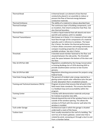| <b>Thermal Break</b>                     | A thermal break is an element of low thermal          |
|------------------------------------------|-------------------------------------------------------|
|                                          | conductivity placed in an assembly to reduce or       |
|                                          | prevent the flow of thermal energy between            |
|                                          | conductive materials.                                 |
| <b>Thermal Emittance</b>                 | The ability of a material to release absorbed heat.   |
| <b>Thermal Envelope</b>                  | The continuous layer of building components, such     |
|                                          | as insulation, that retard conductive heat flow. See  |
|                                          | also thermal boundary.                                |
| <b>Thermal Mass</b>                      | A solid or liquid material that will absorb and store |
|                                          | warmth and coolness until it is needed.               |
| <b>Thermal Transmittance</b>             | Also known as U-factor, it is a measure of non-solar  |
|                                          | heat flow through all the components of a material,   |
|                                          | typically used in reference to windows. The lower     |
|                                          | the U-factor, the better the thermal performance.     |
|                                          | U-factor allows consumers and energy technicians to   |
|                                          | compare insulating properties of commercially         |
|                                          | available windows. See also U-factor.                 |
| Threshold                                | A beveled wood member fastened to the floor and       |
|                                          | situated between the side jambs. The threshold        |
|                                          | seals the space between the bottom of the door and    |
|                                          | the floor.                                            |
| Title 10 CFR Part 440                    | Regulations established by the Energy Conservation    |
|                                          | in Existing Buildings Act of 1976 directing DOE to    |
|                                          | provide weatherization services to low-income         |
|                                          | persons.                                              |
| Title 10 CFR Part 600                    | Regulations directing procurement for projects using  |
|                                          | Federal funds.                                        |
| <b>Total Solar Energy Rejected</b>       | The percent of incident solar energy rejected by a    |
|                                          | glazing system equals solar reflectance plus the part |
|                                          | of solar absorption that is reradiated outward.       |
| Training and Technical Assistance (T&TA) | Program structure that ensures that all work in the   |
|                                          | field meets State standards. This ensures that there  |
|                                          | is a feedback loop and accountability within the      |
|                                          | program.                                              |
| <b>Training Center</b>                   | A facility with demonstration materials and props     |
|                                          | for trainees to practice new skills.                  |
| Trim                                     | Extends beyond the end of the window frame on the     |
|                                          | outside of the window opening. This allows the        |
|                                          | window to fit flush with the exterior wall when the   |
|                                          | window is installed.                                  |
| <b>Tuck-under Garage</b>                 | Architectural style in which the garage is situated   |
|                                          | underneath a room of the house.                       |
| <b>Turbine Vent</b>                      | Vent usually mounted on the roof of a building. The   |
|                                          | vent has at its head a globular, vaned rotor that is  |
|                                          | rotated by wind, conveying air through a duct to and  |
|                                          | from a chamber below.                                 |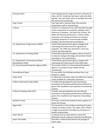| Two-part Foam                              | Foam appropriate for larger and more numerous air       |
|--------------------------------------------|---------------------------------------------------------|
|                                            | leaks, and for insulating crawl space walls and other   |
|                                            | big jobs. Two-part foam comes in portable two-tank      |
|                                            | kits and truck-mounted rigs.                            |
| <b>Type S Fuses</b>                        | Fuse type with a rejection base that prevents           |
|                                            | tampering as well as mismatching.                       |
| U-factor                                   | U-factor is a measure of non-solar heat flow through    |
|                                            | all the components of a material, typically used in     |
|                                            | reference to windows. The lower the U-factor, the       |
|                                            | better the thermal performance. U-factor allows         |
|                                            | consumers and energy technicians to compare             |
|                                            | insulating properties of commercially available         |
|                                            | windows. See also thermal transmittance.                |
| U.S. Department of Agriculture (USDA)      | United States government agency charged with            |
|                                            | rulemaking and enforcement for agricultural             |
|                                            | programs. The USDA also administers some low-           |
|                                            | income housing programs.                                |
| U.S. Department of Energy (DOE)            | United States government agency whose mission is        |
|                                            | to advance energy technology and promote related        |
|                                            | innovation in the United States.                        |
| U.S. Department of Housing and Urban       | United States government agency charged with            |
| Development (HUD)                          | rulemaking and enforcement of the HUD Code.             |
| U.S. Environmental Protection Agency (EPA) | The mission of the U.S. Environmental Protection        |
|                                            | Agency is to protect human health and the               |
|                                            | environment.                                            |
| <b>Unconditioned Space</b>                 | An area within the building envelope that is not        |
|                                            | heated or cooled.                                       |
| Under-fired                                | In reference to furnaces: when too little fuel is being |
|                                            | made available for combustion processes.                |
| Uniform Mechanical Code (UMC)              | A model code developed by the International             |
|                                            | Association of Plumbing and Mechanical Officials to     |
|                                            | govern the installation and inspection of mechanical    |
|                                            | systems.                                                |
| Uniform Plumbing Code (UPC)                | A model code developed by the International             |
|                                            | Association of Plumbing and Mechanical Officials to     |
|                                            | govern the installation and inspection of plumbing      |
|                                            | systems.                                                |
| Up flow Furnace                            | A furnace in which the heated air flows upward as it    |
|                                            | leaves the furnace.                                     |
| <b>Upper Sash</b>                          | The top portion of the window consisting of a pane      |
|                                            | of glass set inside a frame. The upper sash is fixed in |
|                                            | a single-hung window and slides up and down in a        |
|                                            | double-hung window.                                     |
| Vapor Barrier                              | A material such as sheet plastic or paint that          |
|                                            | effectively retards moisture movement by diffusion.     |
| Vapor Permeable                            | Describes a material that permits the passage of        |
|                                            | water vapor.                                            |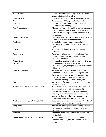| Vapor Pressure                              | The ratio of water vapor to a given volume of air.                        |
|---------------------------------------------|---------------------------------------------------------------------------|
|                                             | Also called absolute humidity.                                            |
| Vapor Retarder                              | A material that impedes the passage of water vapor.                       |
| Vent                                        | Openings in an HVAC system to allow air flow.                             |
| Vent Pipe                                   | The pipe carrying combustion gases from the                               |
|                                             | appliance to the chimney.                                                 |
| <b>Vent Terminations</b>                    | Where a vent leaves the building. Vent terminations                       |
|                                             | must prevent intrusion of moisture, detritus, or                          |
|                                             | pests into the building, and allow safe exhaust of                        |
|                                             | vented gases.                                                             |
| <b>Vented Crawl Space</b>                   | Crawlspace with grilles or vents installed to allow for                   |
|                                             | passive ventilation beneath the home.                                     |
| Ventilation                                 | Controlled air leakage usually created with                               |
|                                             | mechanical exhausting devices such as fans and                            |
|                                             | dryers.                                                                   |
| Vermiculite                                 | A heat-expanded mineral once commonly used for                            |
|                                             | insulation.                                                               |
| <b>Visual Learners</b>                      | Visual learners learn best by seeing things. They                         |
|                                             | easily use images, pictures, colors, and maps to<br>organize information. |
|                                             | The loss of voltage in a circuit caused by resistance.                    |
| <b>Voltage Drop</b><br>Volume               | The amount of space occupied by a three-                                  |
|                                             | dimensional object, or region of space, expressed in                      |
|                                             | cubic units.                                                              |
| Water Management                            | Managing water to avoid damage to building                                |
|                                             | components or low IAQ. Includes properly grading                          |
|                                             | the landscape to ensure water flows away from                             |
|                                             | building, installing or repairing gutters and                             |
|                                             | downspouts, clearing perimeter drains, etc.                               |
| <b>Watt Meter</b>                           | An instrument for measuring, in watts, the power                          |
|                                             | flowing in a circuit.                                                     |
| Weatherization Assistance Program (WAP)     | DOE's Weatherization Assistance (Wx) Program is                           |
|                                             | the nation's largest residential energy efficiency                        |
|                                             | program. Its mission is to increase the energy                            |
|                                             | efficiency of dwellings occupied by low-income                            |
|                                             | Americans, thereby reducing their energy costs,                           |
|                                             | while safeguarding their health and safety.                               |
| <b>Weatherization Program Notices (WPN)</b> | Guidance documents issued by the U.S. Department                          |
|                                             | of Energy for the Weatherization Program.                                 |
| Weep Holes                                  | Holes drilled for the purpose of allowing water to                        |
|                                             | drain out of an area in a building where it has                           |
|                                             | accumulated.                                                              |
| Wet Bulb                                    | One of two thermometers used in a hygrometer. See                         |
|                                             | also Dry bulb.                                                            |
| Whole House Exhaust Ventilation Systems     | Use of one or more fans and duct systems to                               |
|                                             | exhaust stale air and/or supply fresh air to the                          |
|                                             | house.                                                                    |